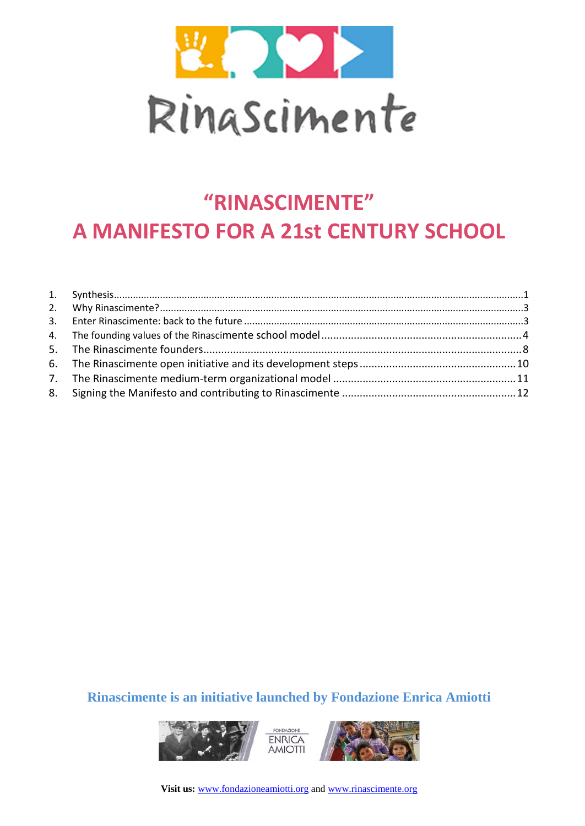

# **"RINASCIMENTE" A MANIFESTO FOR A 21st CENTURY SCHOOL**

### **Rinascimente is an initiative launched by Fondazione Enrica Amiotti**



**Visit us:** [www.fondazioneamiotti.org](http://www.fondazioneamiotti.org/) an[d www.rinascimente.org](http://www.rinascimente.org/)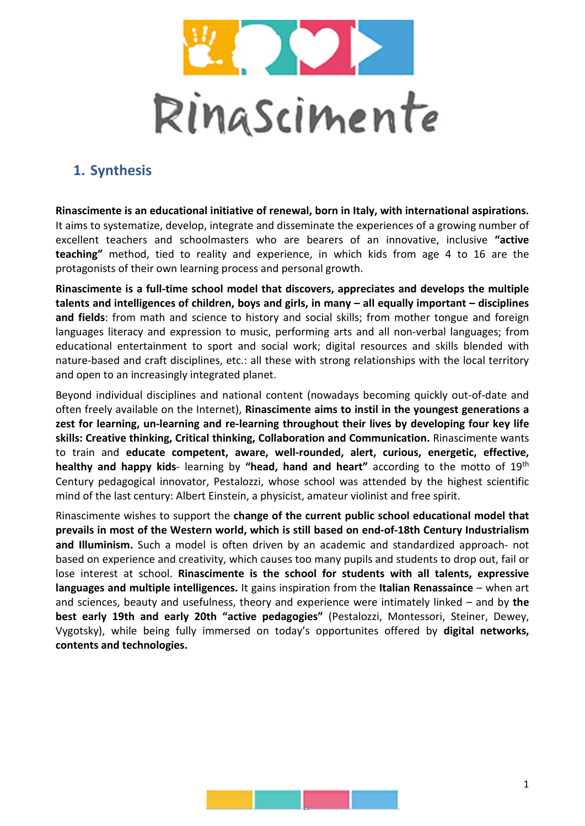

# **1. Synthesis**

**Rinascimente is an educational initiative of renewal, born in Italy, with international aspirations.**  It aims to systematize, develop, integrate and disseminate the experiences of a growing number of excellent teachers and schoolmasters who are bearers of an innovative, inclusive **"active teaching"** method, tied to reality and experience, in which kids from age 4 to 16 are the protagonists of their own learning process and personal growth.

**Rinascimente is a full-time school model that discovers, appreciates and develops the multiple talents and intelligences of children, boys and girls, in many – all equally important – disciplines and fields**: from math and science to history and social skills; from mother tongue and foreign languages literacy and expression to music, performing arts and all non-verbal languages; from educational entertainment to sport and social work; digital resources and skills blended with nature-based and craft disciplines, etc.: all these with strong relationships with the local territory and open to an increasingly integrated planet.

Beyond individual disciplines and national content (nowadays becoming quickly out-of-date and often freely available on the Internet), **Rinascimente aims to instil in the youngest generations a zest for learning, un-learning and re-learning throughout their lives by developing four key life skills: Creative thinking, Critical thinking, Collaboration and Communication.** Rinascimente wants to train and **educate competent, aware, well-rounded, alert, curious, energetic, effective, healthy and happy kids**- learning by **"head, hand and heart"** according to the motto of 19th Century pedagogical innovator, Pestalozzi, whose school was attended by the highest scientific mind of the last century: Albert Einstein, a physicist, amateur violinist and free spirit.

Rinascimente wishes to support the **change of the current public school educational model that prevails in most of the Western world, which is still based on end-of-18th Century Industrialism and Illuminism.** Such a model is often driven by an academic and standardized approach- not based on experience and creativity, which causes too many pupils and students to drop out, fail or lose interest at school. **Rinascimente is the school for students with all talents, expressive languages and multiple intelligences.** It gains inspiration from the **Italian Renassaince** – when art and sciences, beauty and usefulness, theory and experience were intimately linked – and by **the best early 19th and early 20th "active pedagogies"** (Pestalozzi, Montessori, Steiner, Dewey, Vygotsky), while being fully immersed on today's opportunites offered by **digital networks, contents and technologies.**

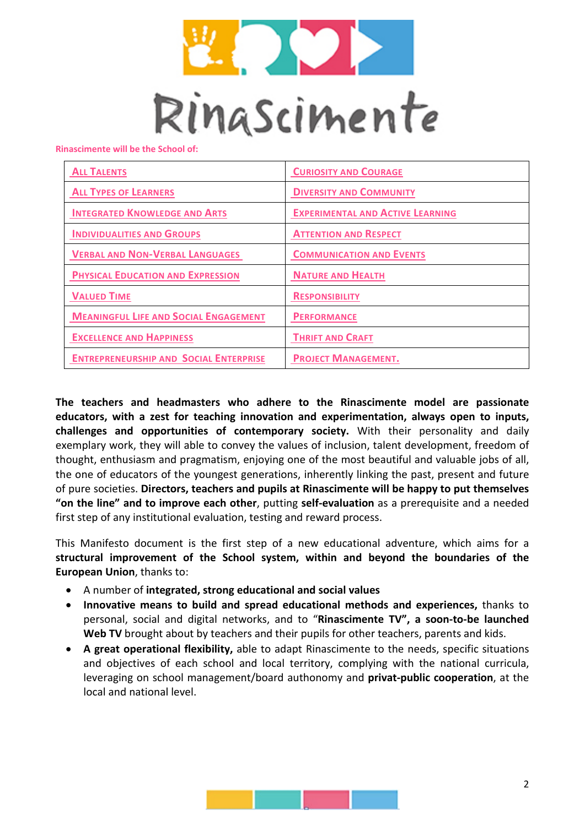

**Rinascimente will be the School of:**

| <b>ALL TALENTS</b>                            | <b>CURIOSITY AND COURAGE</b>            |
|-----------------------------------------------|-----------------------------------------|
| <b>ALL TYPES OF LEARNERS</b>                  | <b>DIVERSITY AND COMMUNITY</b>          |
| <b>INTEGRATED KNOWLEDGE AND ARTS</b>          | <b>EXPERIMENTAL AND ACTIVE LEARNING</b> |
| <b>INDIVIDUALITIES AND GROUPS</b>             | <b>ATTENTION AND RESPECT</b>            |
| <b>VERBAL AND NON-VERBAL LANGUAGES</b>        | <b>COMMUNICATION AND EVENTS</b>         |
| <b>PHYSICAL EDUCATION AND EXPRESSION</b>      | <b>NATURE AND HEALTH</b>                |
| <b>VALUED TIME</b>                            | <b>RESPONSIBILITY</b>                   |
| <b>MEANINGFUL LIFE AND SOCIAL ENGAGEMENT</b>  | <b>PERFORMANCE</b>                      |
| <b>EXCELLENCE AND HAPPINESS</b>               | <b>THRIFT AND CRAFT</b>                 |
| <b>ENTREPRENEURSHIP AND SOCIAL ENTERPRISE</b> | <b>PROJECT MANAGEMENT.</b>              |

**The teachers and headmasters who adhere to the Rinascimente model are passionate educators, with a zest for teaching innovation and experimentation, always open to inputs, challenges and opportunities of contemporary society.** With their personality and daily exemplary work, they will able to convey the values of inclusion, talent development, freedom of thought, enthusiasm and pragmatism, enjoying one of the most beautiful and valuable jobs of all, the one of educators of the youngest generations, inherently linking the past, present and future of pure societies. **Directors, teachers and pupils at Rinascimente will be happy to put themselves "on the line" and to improve each other**, putting **self-evaluation** as a prerequisite and a needed first step of any institutional evaluation, testing and reward process.

This Manifesto document is the first step of a new educational adventure, which aims for a **structural improvement of the School system, within and beyond the boundaries of the European Union**, thanks to:

- A number of **integrated, strong educational and social values**
- **Innovative means to build and spread educational methods and experiences,** thanks to personal, social and digital networks, and to "**Rinascimente TV", a soon-to-be launched Web TV** brought about by teachers and their pupils for other teachers, parents and kids.
- **A great operational flexibility,** able to adapt Rinascimente to the needs, specific situations and objectives of each school and local territory, complying with the national curricula, leveraging on school management/board authonomy and **privat-public cooperation**, at the local and national level.

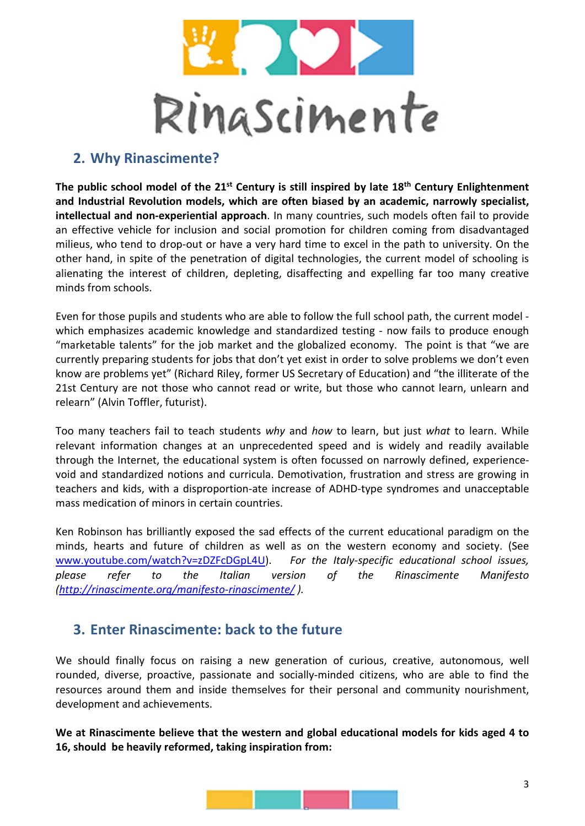

# **2. Why Rinascimente?**

**The public school model of the 21st Century is still inspired by late 18th Century Enlightenment and Industrial Revolution models, which are often biased by an academic, narrowly specialist, intellectual and non-experiential approach**. In many countries, such models often fail to provide an effective vehicle for inclusion and social promotion for children coming from disadvantaged milieus, who tend to drop-out or have a very hard time to excel in the path to university. On the other hand, in spite of the penetration of digital technologies, the current model of schooling is alienating the interest of children, depleting, disaffecting and expelling far too many creative minds from schools.

Even for those pupils and students who are able to follow the full school path, the current model which emphasizes academic knowledge and standardized testing - now fails to produce enough "marketable talents" for the job market and the globalized economy. The point is that "we are currently preparing students for jobs that don't yet exist in order to solve problems we don't even know are problems yet" (Richard Riley, former US Secretary of Education) and "the illiterate of the 21st Century are not those who cannot read or write, but those who cannot learn, unlearn and relearn" (Alvin Toffler, futurist).

Too many teachers fail to teach students *why* and *how* to learn, but just *what* to learn. While relevant information changes at an unprecedented speed and is widely and readily available through the Internet, the educational system is often focussed on narrowly defined, experiencevoid and standardized notions and curricula. Demotivation, frustration and stress are growing in teachers and kids, with a disproportion-ate increase of ADHD-type syndromes and unacceptable mass medication of minors in certain countries.

Ken Robinson has brilliantly exposed the sad effects of the current educational paradigm on the minds, hearts and future of children as well as on the western economy and society. (See [www.youtube.com/watch?v=zDZFcDGpL4U\)](http://www.youtube.com/watch?v=zDZFcDGpL4U). *For the Italy-specific educational school issues, please refer to the Italian version of the Rinascimente Manifesto [\(http://rinascimente.org/manifesto-rinascimente/](http://rinascimente.org/manifesto-rinascimente/) ).* 

# **3. Enter Rinascimente: back to the future**

We should finally focus on raising a new generation of curious, creative, autonomous, well rounded, diverse, proactive, passionate and socially-minded citizens, who are able to find the resources around them and inside themselves for their personal and community nourishment, development and achievements.

**We at Rinascimente believe that the western and global educational models for kids aged 4 to 16, should be heavily reformed, taking inspiration from:**

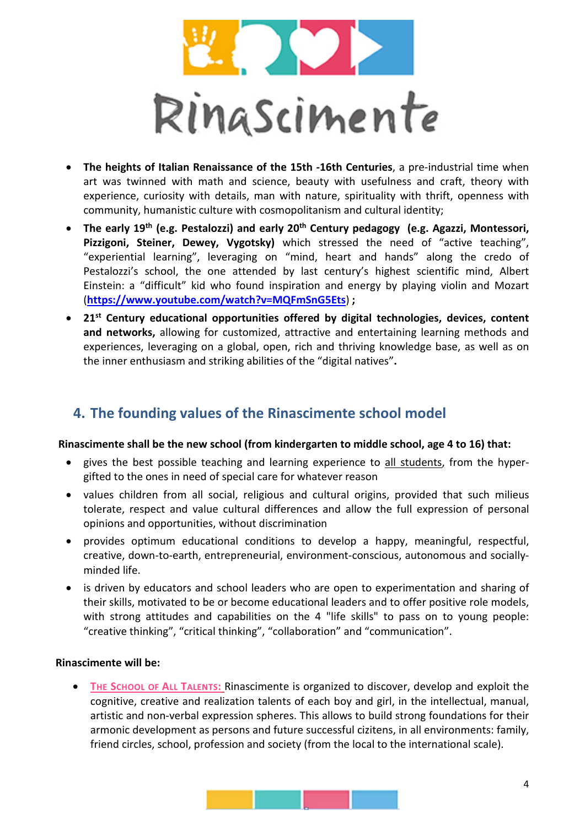

- **The heights of Italian Renaissance of the 15th -16th Centuries**, a pre-industrial time when art was twinned with math and science, beauty with usefulness and craft, theory with experience, curiosity with details, man with nature, spirituality with thrift, openness with community, humanistic culture with cosmopolitanism and cultural identity;
- **The early 19th (e.g. Pestalozzi) and early 20th Century pedagogy (e.g. Agazzi, Montessori, Pizzigoni, Steiner, Dewey, Vygotsky)** which stressed the need of "active teaching", "experiential learning", leveraging on "mind, heart and hands" along the credo of Pestalozzi's school, the one attended by last century's highest scientific mind, Albert Einstein: a "difficult" kid who found inspiration and energy by playing violin and Mozart (**<https://www.youtube.com/watch?v=MQFmSnG5Ets>**) **;**
- **21st Century educational opportunities offered by digital technologies, devices, content and networks,** allowing for customized, attractive and entertaining learning methods and experiences, leveraging on a global, open, rich and thriving knowledge base, as well as on the inner enthusiasm and striking abilities of the "digital natives"**.**

# **4. The founding values of the Rinascimente school model**

#### **Rinascimente shall be the new school (from kindergarten to middle school, age 4 to 16) that:**

- gives the best possible teaching and learning experience to all students, from the hypergifted to the ones in need of special care for whatever reason
- values children from all social, religious and cultural origins, provided that such milieus tolerate, respect and value cultural differences and allow the full expression of personal opinions and opportunities, without discrimination
- provides optimum educational conditions to develop a happy, meaningful, respectful, creative, down-to-earth, entrepreneurial, environment-conscious, autonomous and sociallyminded life.
- is driven by educators and school leaders who are open to experimentation and sharing of their skills, motivated to be or become educational leaders and to offer positive role models, with strong attitudes and capabilities on the 4 "life skills" to pass on to young people: "creative thinking", "critical thinking", "collaboration" and "communication".

#### **Rinascimente will be:**

• **THE SCHOOL OF ALL TALENTS:** Rinascimente is organized to discover, develop and exploit the cognitive, creative and realization talents of each boy and girl, in the intellectual, manual, artistic and non-verbal expression spheres. This allows to build strong foundations for their armonic development as persons and future successful cizitens, in all environments: family, friend circles, school, profession and society (from the local to the international scale).

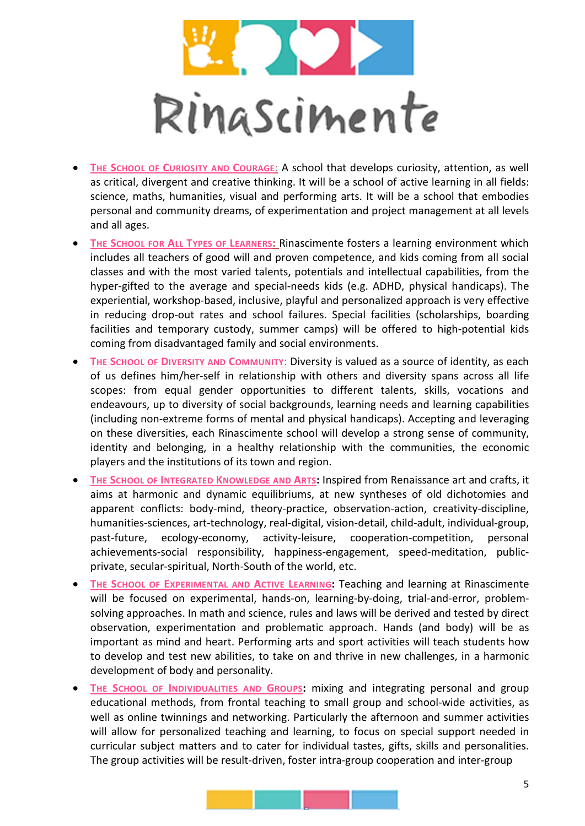

- **THE SCHOOL OF CURIOSITY AND COURAGE**: A school that develops curiosity, attention, as well as critical, divergent and creative thinking. It will be a school of active learning in all fields: science, maths, humanities, visual and performing arts. It will be a school that embodies personal and community dreams, of experimentation and project management at all levels and all ages.
- **THE SCHOOL FOR ALL TYPES OF LEARNERS: Rinascimente fosters a learning environment which** includes all teachers of good will and proven competence, and kids coming from all social classes and with the most varied talents, potentials and intellectual capabilities, from the hyper-gifted to the average and special-needs kids (e.g. ADHD, physical handicaps). The experiential, workshop-based, inclusive, playful and personalized approach is very effective in reducing drop-out rates and school failures. Special facilities (scholarships, boarding facilities and temporary custody, summer camps) will be offered to high-potential kids coming from disadvantaged family and social environments.
- **THE SCHOOL OF DIVERSITY AND COMMUNITY: Diversity is valued as a source of identity, as each** of us defines him/her-self in relationship with others and diversity spans across all life scopes: from equal gender opportunities to different talents, skills, vocations and endeavours, up to diversity of social backgrounds, learning needs and learning capabilities (including non-extreme forms of mental and physical handicaps). Accepting and leveraging on these diversities, each Rinascimente school will develop a strong sense of community, identity and belonging, in a healthy relationship with the communities, the economic players and the institutions of its town and region.
- **THE SCHOOL OF INTEGRATED KNOWLEDGE AND ARTS:** Inspired from Renaissance art and crafts, it aims at harmonic and dynamic equilibriums, at new syntheses of old dichotomies and apparent conflicts: body-mind, theory-practice, observation-action, creativity-discipline, humanities-sciences, art-technology, real-digital, vision-detail, child-adult, individual-group, past-future, ecology-economy, activity-leisure, cooperation-competition, personal achievements-social responsibility, happiness-engagement, speed-meditation, publicprivate, secular-spiritual, North-South of the world, etc.
- **THE SCHOOL OF EXPERIMENTAL AND ACTIVE LEARNING: Teaching and learning at Rinascimente** will be focused on experimental, hands-on, learning-by-doing, trial-and-error, problemsolving approaches. In math and science, rules and laws will be derived and tested by direct observation, experimentation and problematic approach. Hands (and body) will be as important as mind and heart. Performing arts and sport activities will teach students how to develop and test new abilities, to take on and thrive in new challenges, in a harmonic development of body and personality.
- **THE SCHOOL OF INDIVIDUALITIES AND GROUPS:** mixing and integrating personal and group educational methods, from frontal teaching to small group and school-wide activities, as well as online twinnings and networking. Particularly the afternoon and summer activities will allow for personalized teaching and learning, to focus on special support needed in curricular subject matters and to cater for individual tastes, gifts, skills and personalities. The group activities will be result-driven, foster intra-group cooperation and inter-group

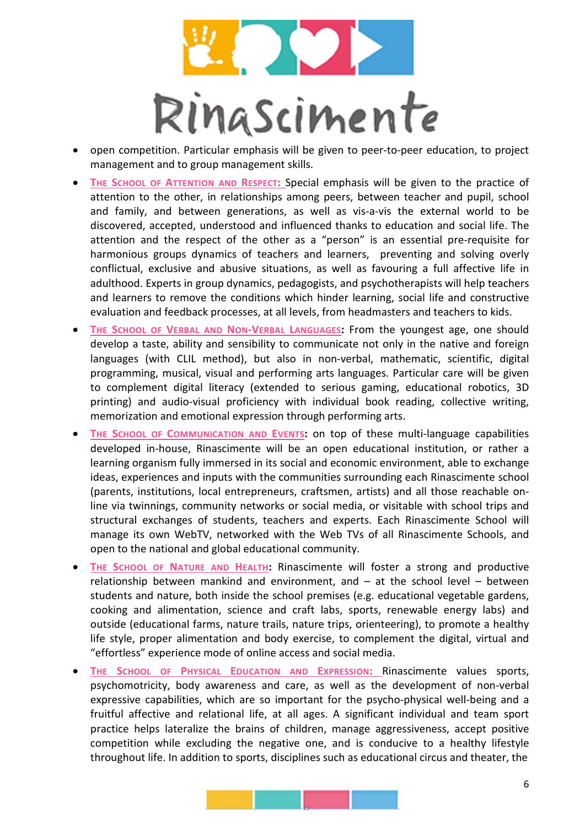

- open competition. Particular emphasis will be given to peer-to-peer education, to project management and to group management skills.
- **THE SCHOOL OF ATTENTION AND RESPECT:** Special emphasis will be given to the practice of attention to the other, in relationships among peers, between teacher and pupil, school and family, and between generations, as well as vis-a-vis the external world to be discovered, accepted, understood and influenced thanks to education and social life. The attention and the respect of the other as a "person" is an essential pre-requisite for harmonious groups dynamics of teachers and learners, preventing and solving overly conflictual, exclusive and abusive situations, as well as favouring a full affective life in adulthood. Experts in group dynamics, pedagogists, and psychotherapists will help teachers and learners to remove the conditions which hinder learning, social life and constructive evaluation and feedback processes, at all levels, from headmasters and teachers to kids.
- THE SCHOOL OF VERBAL AND NON-VERBAL LANGUAGES: From the youngest age, one should develop a taste, ability and sensibility to communicate not only in the native and foreign languages (with CLIL method), but also in non-verbal, mathematic, scientific, digital programming, musical, visual and performing arts languages. Particular care will be given to complement digital literacy (extended to serious gaming, educational robotics, 3D printing) and audio-visual proficiency with individual book reading, collective writing, memorization and emotional expression through performing arts.
- **THE SCHOOL OF COMMUNICATION AND EVENTS:** on top of these multi-language capabilities developed in-house, Rinascimente will be an open educational institution, or rather a learning organism fully immersed in its social and economic environment, able to exchange ideas, experiences and inputs with the communities surrounding each Rinascimente school (parents, institutions, local entrepreneurs, craftsmen, artists) and all those reachable online via twinnings, community networks or social media, or visitable with school trips and structural exchanges of students, teachers and experts. Each Rinascimente School will manage its own WebTV, networked with the Web TVs of all Rinascimente Schools, and open to the national and global educational community.
- **THE SCHOOL OF NATURE AND HEALTH:** Rinascimente will foster a strong and productive relationship between mankind and environment, and – at the school level – between students and nature, both inside the school premises (e.g. educational vegetable gardens, cooking and alimentation, science and craft labs, sports, renewable energy labs) and outside (educational farms, nature trails, nature trips, orienteering), to promote a healthy life style, proper alimentation and body exercise, to complement the digital, virtual and "effortless" experience mode of online access and social media.
- **THE SCHOOL OF PHYSICAL EDUCATION AND EXPRESSION:** Rinascimente values sports, psychomotricity, body awareness and care, as well as the development of non-verbal expressive capabilities, which are so important for the psycho-physical well-being and a fruitful affective and relational life, at all ages. A significant individual and team sport practice helps lateralize the brains of children, manage aggressiveness, accept positive competition while excluding the negative one, and is conducive to a healthy lifestyle throughout life. In addition to sports, disciplines such as educational circus and theater, the

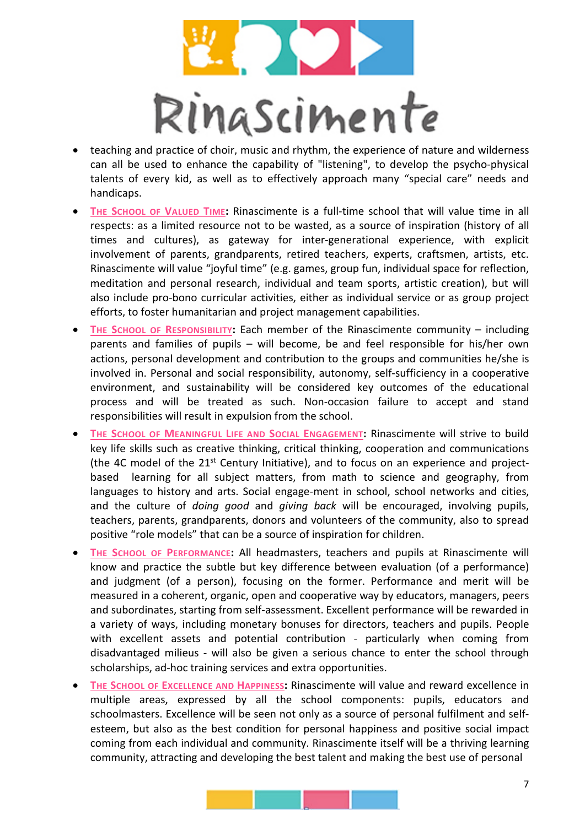

- teaching and practice of choir, music and rhythm, the experience of nature and wilderness can all be used to enhance the capability of "listening", to develop the psycho-physical talents of every kid, as well as to effectively approach many "special care" needs and handicaps.
- **THE SCHOOL OF VALUED TIME:** Rinascimente is a full-time school that will value time in all respects: as a limited resource not to be wasted, as a source of inspiration (history of all times and cultures), as gateway for inter-generational experience, with explicit involvement of parents, grandparents, retired teachers, experts, craftsmen, artists, etc. Rinascimente will value "joyful time" (e.g. games, group fun, individual space for reflection, meditation and personal research, individual and team sports, artistic creation), but will also include pro-bono curricular activities, either as individual service or as group project efforts, to foster humanitarian and project management capabilities.
- **THE SCHOOL OF RESPONSIBILITY:** Each member of the Rinascimente community including parents and families of pupils – will become, be and feel responsible for his/her own actions, personal development and contribution to the groups and communities he/she is involved in. Personal and social responsibility, autonomy, self-sufficiency in a cooperative environment, and sustainability will be considered key outcomes of the educational process and will be treated as such. Non-occasion failure to accept and stand responsibilities will result in expulsion from the school.
- **THE SCHOOL OF MEANINGFUL LIFE AND SOCIAL ENGAGEMENT:** Rinascimente will strive to build key life skills such as creative thinking, critical thinking, cooperation and communications (the 4C model of the  $21^{st}$  Century Initiative), and to focus on an experience and projectbased learning for all subject matters, from math to science and geography, from languages to history and arts. Social engage-ment in school, school networks and cities, and the culture of *doing good* and *giving back* will be encouraged, involving pupils, teachers, parents, grandparents, donors and volunteers of the community, also to spread positive "role models" that can be a source of inspiration for children.
- **THE SCHOOL OF PERFORMANCE:** All headmasters, teachers and pupils at Rinascimente will know and practice the subtle but key difference between evaluation (of a performance) and judgment (of a person), focusing on the former. Performance and merit will be measured in a coherent, organic, open and cooperative way by educators, managers, peers and subordinates, starting from self-assessment. Excellent performance will be rewarded in a variety of ways, including monetary bonuses for directors, teachers and pupils. People with excellent assets and potential contribution - particularly when coming from disadvantaged milieus - will also be given a serious chance to enter the school through scholarships, ad-hoc training services and extra opportunities.
- **THE SCHOOL OF EXCELLENCE AND HAPPINESS:** Rinascimente will value and reward excellence in multiple areas, expressed by all the school components: pupils, educators and schoolmasters. Excellence will be seen not only as a source of personal fulfilment and selfesteem, but also as the best condition for personal happiness and positive social impact coming from each individual and community. Rinascimente itself will be a thriving learning community, attracting and developing the best talent and making the best use of personal

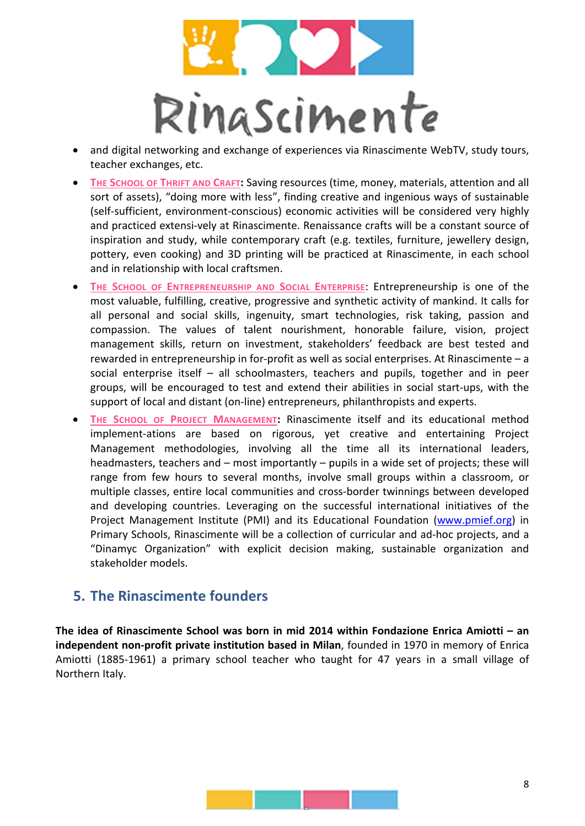

- and digital networking and exchange of experiences via Rinascimente WebTV, study tours, teacher exchanges, etc.
- **THE SCHOOL OF THRIFT AND CRAFT:** Saving resources (time, money, materials, attention and all sort of assets), "doing more with less", finding creative and ingenious ways of sustainable (self-sufficient, environment-conscious) economic activities will be considered very highly and practiced extensi-vely at Rinascimente. Renaissance crafts will be a constant source of inspiration and study, while contemporary craft (e.g. textiles, furniture, jewellery design, pottery, even cooking) and 3D printing will be practiced at Rinascimente, in each school and in relationship with local craftsmen.
- **THE SCHOOL OF ENTREPRENEURSHIP AND SOCIAL ENTERPRISE**: Entrepreneurship is one of the most valuable, fulfilling, creative, progressive and synthetic activity of mankind. It calls for all personal and social skills, ingenuity, smart technologies, risk taking, passion and compassion. The values of talent nourishment, honorable failure, vision, project management skills, return on investment, stakeholders' feedback are best tested and rewarded in entrepreneurship in for-profit as well as social enterprises. At Rinascimente – a social enterprise itself – all schoolmasters, teachers and pupils, together and in peer groups, will be encouraged to test and extend their abilities in social start-ups, with the support of local and distant (on-line) entrepreneurs, philanthropists and experts.
- **THE SCHOOL OF PROJECT MANAGEMENT:** Rinascimente itself and its educational method implement-ations are based on rigorous, yet creative and entertaining Project Management methodologies, involving all the time all its international leaders, headmasters, teachers and – most importantly – pupils in a wide set of projects; these will range from few hours to several months, involve small groups within a classroom, or multiple classes, entire local communities and cross-border twinnings between developed and developing countries. Leveraging on the successful international initiatives of the Project Management Institute (PMI) and its Educational Foundation [\(www.pmief.org\)](http://www.pmief.org/) in Primary Schools, Rinascimente will be a collection of curricular and ad-hoc projects, and a "Dinamyc Organization" with explicit decision making, sustainable organization and stakeholder models.

## **5. The Rinascimente founders**

**The idea of Rinascimente School was born in mid 2014 within Fondazione Enrica Amiotti – an independent non-profit private institution based in Milan**, founded in 1970 in memory of Enrica Amiotti (1885-1961) a primary school teacher who taught for 47 years in a small village of Northern Italy.

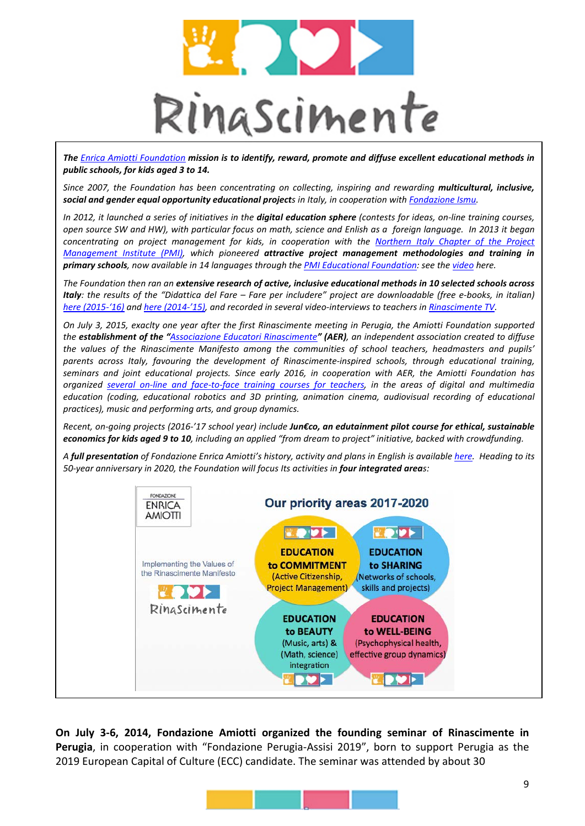

*The [Enrica Amiotti Foundation](http://www.fondazioneamiotti.org/) mission is to identify, reward, promote and diffuse excellent educational methods in public schools, for kids aged 3 to 14.* 

*Since 2007, the Foundation has been concentrating on collecting, inspiring and rewarding multicultural, inclusive, social and gender equal opportunity educational projects in Italy, in cooperation wit[h Fondazione Ismu.](http://www.ismu.org/)* 

*In 2012, it launched a series of initiatives in the digital education sphere (contests for ideas, on-line training courses, open source SW and HW), with particular focus on math, science and Enlish as a foreign language. In 2013 it began concentrating on project management for kids, in cooperation with the [Northern Italy Chapter of the Project](http://www.pmi-nic.org/)  [Management Institute \(PMI\),](http://www.pmi-nic.org/) which pioneered attractive project management methodologies and training in primary schools, now available in 14 languages through the PMI Educational Foundation: see th[e video](https://www.youtube.com/watch?v=H4b_AtOP9p0) here.* 

*The Foundation then ran an extensive research of active, inclusive educational methods in 10 selected schools across Italy: the results of the "Didattica del Fare – Fare per includere" project are downloadable (free e-books, in italian) [here \(2015-'16\)](http://fondazioneamiotti.org/didattica-del-fare-2015-2016/) an[d here \(2014-'15\),](http://fondazioneamiotti.org/didattica-del-fare-2014-2015/) and recorded in several video-interviews to teachers i[n Rinascimente TV.](http://rinascimente.org/tutti-i-video/)* 

*On July 3, 2015, exaclty one year after the first Rinascimente meeting in Perugia, the Amiotti Foundation supported the establishment of the "[Associazione Educatori Rinascimente](http://rinascimente.org/associazione-educatori/)" (AER), an independent association created to diffuse the values of the Rinascimente Manifesto among the communities of school teachers, headmasters and pupils' parents across Italy, favouring the development of Rinascimente-inspired schools, through educational training, seminars and joint educational projects. Since early 2016, in cooperation with AER, the Amiotti Foundation has organized [several on-line and face-to-face training courses for teachers,](http://rinascimente.org/offerta-formativa/) in the areas of digital and multimedia*  education (coding, educational robotics and 3D printing, animation cinema, audiovisual recording of educational *practices), music and performing arts, and group dynamics.* 

*Recent, on-going projects (2016-'17 school year) include Jun€co, an edutainment pilot course for ethical, sustainable economics for kids aged 9 to 10, including an applied "from dream to project" initiative, backed with crowdfunding.*

*A full presentation of Fondazione Enrica Amiotti's history, activity and plans in English is availabl[e here.](http://fondazioneamiotti.org/download/1032/) Heading to its 50-year anniversary in 2020, the Foundation will focus Its activities in four integrated areas:* 



**On July 3-6, 2014, Fondazione Amiotti organized the founding seminar of Rinascimente in Perugia**, in cooperation with "Fondazione Perugia-Assisi 2019", born to support Perugia as the 2019 European Capital of Culture (ECC) candidate. The seminar was attended by about 30

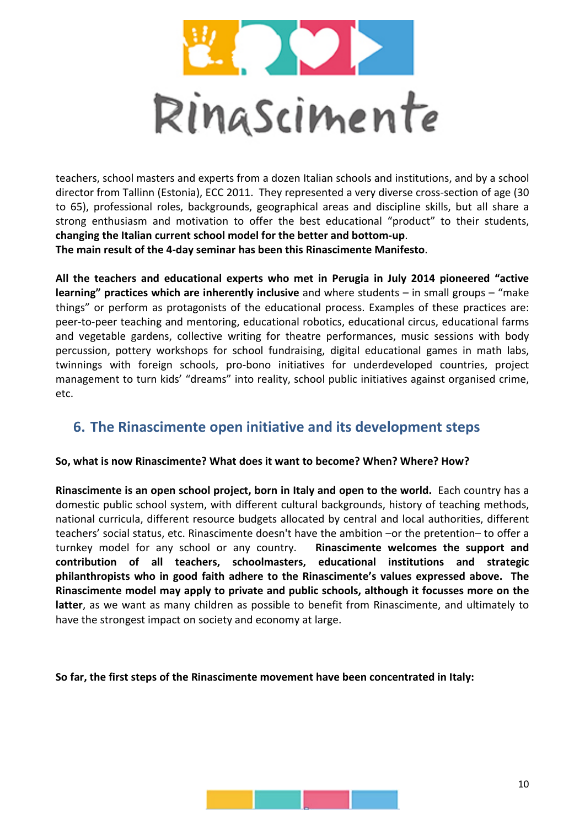

teachers, school masters and experts from a dozen Italian schools and institutions, and by a school director from Tallinn (Estonia), ECC 2011.They represented a very diverse cross-section of age (30 to 65), professional roles, backgrounds, geographical areas and discipline skills, but all share a strong enthusiasm and motivation to offer the best educational "product" to their students, **changing the Italian current school model for the better and bottom-up**. **The main result of the 4-day seminar has been this Rinascimente Manifesto**.

**All the teachers and educational experts who met in Perugia in July 2014 pioneered "active learning" practices which are inherently inclusive** and where students – in small groups – "make things" or perform as protagonists of the educational process. Examples of these practices are: peer-to-peer teaching and mentoring, educational robotics, educational circus, educational farms and vegetable gardens, collective writing for theatre performances, music sessions with body percussion, pottery workshops for school fundraising, digital educational games in math labs, twinnings with foreign schools, pro-bono initiatives for underdeveloped countries, project management to turn kids' "dreams" into reality, school public initiatives against organised crime, etc.

## **6. The Rinascimente open initiative and its development steps**

#### **So, what is now Rinascimente? What does it want to become? When? Where? How?**

**Rinascimente is an open school project, born in Italy and open to the world.** Each country has a domestic public school system, with different cultural backgrounds, history of teaching methods, national curricula, different resource budgets allocated by central and local authorities, different teachers' social status, etc. Rinascimente doesn't have the ambition –or the pretention– to offer a turnkey model for any school or any country. **Rinascimente welcomes the support and contribution of all teachers, schoolmasters, educational institutions and strategic philanthropists who in good faith adhere to the Rinascimente's values expressed above. The Rinascimente model may apply to private and public schools, although it focusses more on the latter**, as we want as many children as possible to benefit from Rinascimente, and ultimately to have the strongest impact on society and economy at large.

**So far, the first steps of the Rinascimente movement have been concentrated in Italy:** 

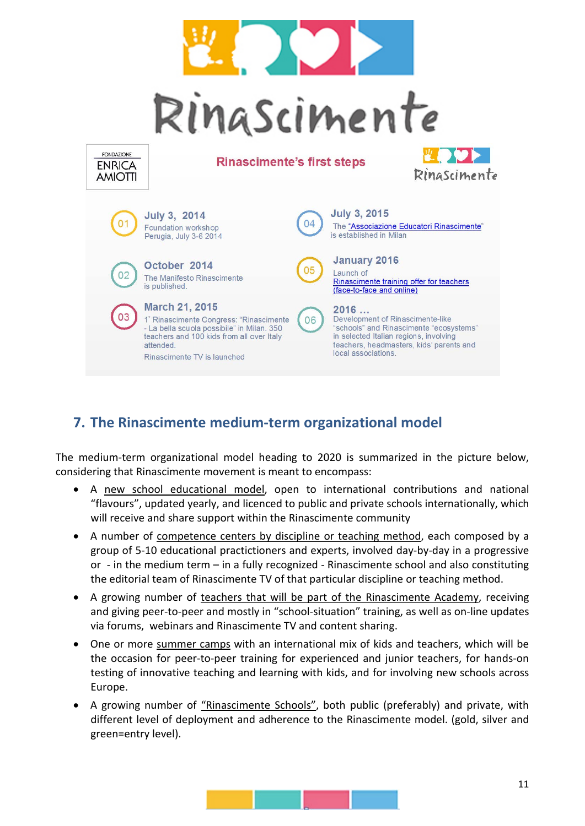

# **7. The Rinascimente medium-term organizational model**

The medium-term organizational model heading to 2020 is summarized in the picture below, considering that Rinascimente movement is meant to encompass:

- A new school educational model, open to international contributions and national "flavours", updated yearly, and licenced to public and private schools internationally, which will receive and share support within the Rinascimente community
- A number of competence centers by discipline or teaching method, each composed by a group of 5-10 educational practictioners and experts, involved day-by-day in a progressive or - in the medium term – in a fully recognized - Rinascimente school and also constituting the editorial team of Rinascimente TV of that particular discipline or teaching method.
- A growing number of teachers that will be part of the Rinascimente Academy, receiving and giving peer-to-peer and mostly in "school-situation" training, as well as on-line updates via forums, webinars and Rinascimente TV and content sharing.
- One or more summer camps with an international mix of kids and teachers, which will be the occasion for peer-to-peer training for experienced and junior teachers, for hands-on testing of innovative teaching and learning with kids, and for involving new schools across Europe.
- A growing number of "Rinascimente Schools", both public (preferably) and private, with different level of deployment and adherence to the Rinascimente model. (gold, silver and green=entry level).

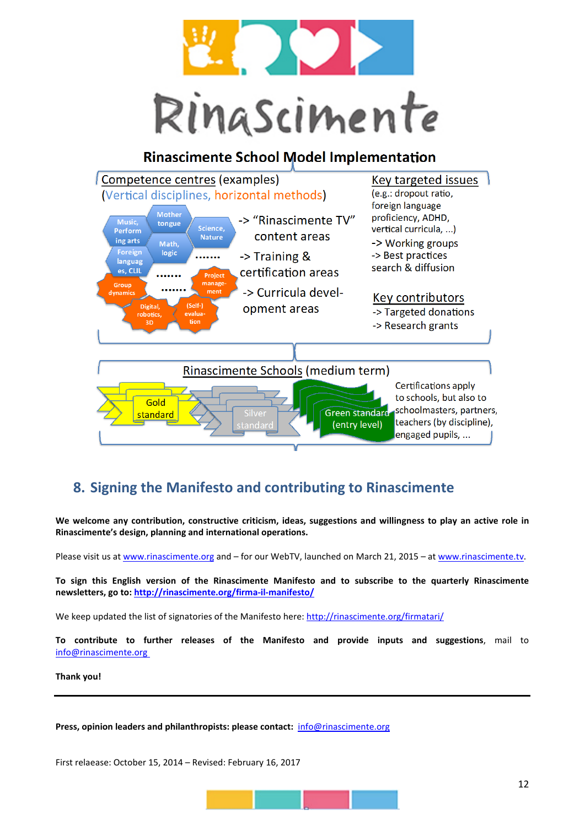

## **Rinascimente School Model Implementation**



# **8. Signing the Manifesto and contributing to Rinascimente**

**We welcome any contribution, constructive criticism, ideas, suggestions and willingness to play an active role in Rinascimente's design, planning and international operations.** 

Please visit us a[t www.rinascimente.org](http://www.rinascimente.org/) and – for our WebTV, launched on March 21, 2015 – at [www.rinascimente.tv.](http://www.rinascimente.tv/)

**To sign this English version of the Rinascimente Manifesto and to subscribe to the quarterly Rinascimente newsletters, go to[: http://rinascimente.org/firma-il-manifesto/](http://rinascimente.org/firma-il-manifesto/)**

We keep updated the list of signatories of the Manifesto here:<http://rinascimente.org/firmatari/>

**To contribute to further releases of the Manifesto and provide inputs and suggestions**, mail to [info@rinascimente.org](mailto:inputs@rinascimente.org) 

#### **Thank you!**

**Press, opinion leaders and philanthropists: please contact:** [info@rinascimente.org](mailto:rinascimente@fondazioneamiotti.org)

First relaease: October 15, 2014 – Revised: February 16, 2017